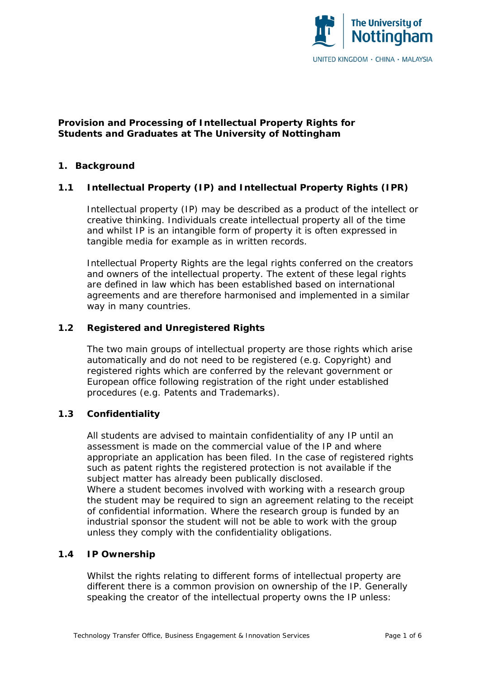

# **Provision and Processing of Intellectual Property Rights for Students and Graduates at The University of Nottingham**

## **1. Background**

# **1.1 Intellectual Property (IP) and Intellectual Property Rights (IPR)**

Intellectual property (IP) may be described as a product of the intellect or creative thinking. Individuals create intellectual property all of the time and whilst IP is an intangible form of property it is often expressed in tangible media for example as in written records.

Intellectual Property Rights are the legal rights conferred on the creators and owners of the intellectual property. The extent of these legal rights are defined in law which has been established based on international agreements and are therefore harmonised and implemented in a similar way in many countries.

# **1.2 Registered and Unregistered Rights**

The two main groups of intellectual property are those rights which arise automatically and do not need to be registered (e.g. Copyright) and registered rights which are conferred by the relevant government or European office following registration of the right under established procedures (e.g. Patents and Trademarks).

## **1.3 Confidentiality**

All students are advised to maintain confidentiality of any IP until an assessment is made on the commercial value of the IP and where appropriate an application has been filed. In the case of registered rights such as patent rights the registered protection is not available if the subject matter has already been publically disclosed. Where a student becomes involved with working with a research group the student may be required to sign an agreement relating to the receipt of confidential information. Where the research group is funded by an industrial sponsor the student will not be able to work with the group unless they comply with the confidentiality obligations.

### **1.4 IP Ownership**

Whilst the rights relating to different forms of intellectual property are different there is a common provision on ownership of the IP. Generally speaking the creator of the intellectual property owns the IP unless: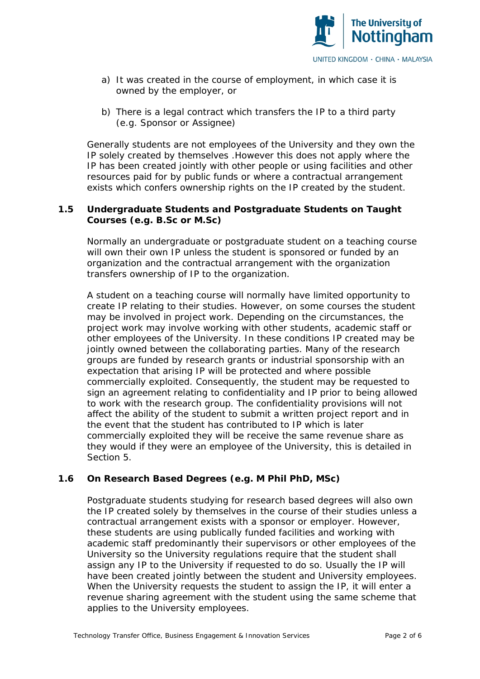

- a) It was created in the course of employment, in which case it is owned by the employer, or
- b) There is a legal contract which transfers the IP to a third party (e.g. Sponsor or Assignee)

Generally students are not employees of the University and they own the IP solely created by themselves .However this does not apply where the IP has been created jointly with other people or using facilities and other resources paid for by public funds or where a contractual arrangement exists which confers ownership rights on the IP created by the student.

## **1.5 Undergraduate Students and Postgraduate Students on Taught Courses (e.g. B.Sc or M.Sc)**

Normally an undergraduate or postgraduate student on a teaching course will own their own IP unless the student is sponsored or funded by an organization and the contractual arrangement with the organization transfers ownership of IP to the organization.

A student on a teaching course will normally have limited opportunity to create IP relating to their studies. However, on some courses the student may be involved in project work. Depending on the circumstances, the project work may involve working with other students, academic staff or other employees of the University. In these conditions IP created may be jointly owned between the collaborating parties. Many of the research groups are funded by research grants or industrial sponsorship with an expectation that arising IP will be protected and where possible commercially exploited. Consequently, the student may be requested to sign an agreement relating to confidentiality and IP prior to being allowed to work with the research group. The confidentiality provisions will not affect the ability of the student to submit a written project report and in the event that the student has contributed to IP which is later commercially exploited they will be receive the same revenue share as they would if they were an employee of the University, this is detailed in Section 5.

### **1.6 On Research Based Degrees (e.g. M Phil PhD, MSc)**

Postgraduate students studying for research based degrees will also own the IP created solely by themselves in the course of their studies unless a contractual arrangement exists with a sponsor or employer. However, these students are using publically funded facilities and working with academic staff predominantly their supervisors or other employees of the University so the University regulations require that the student shall assign any IP to the University if requested to do so. Usually the IP will have been created jointly between the student and University employees. When the University requests the student to assign the IP, it will enter a revenue sharing agreement with the student using the same scheme that applies to the University employees.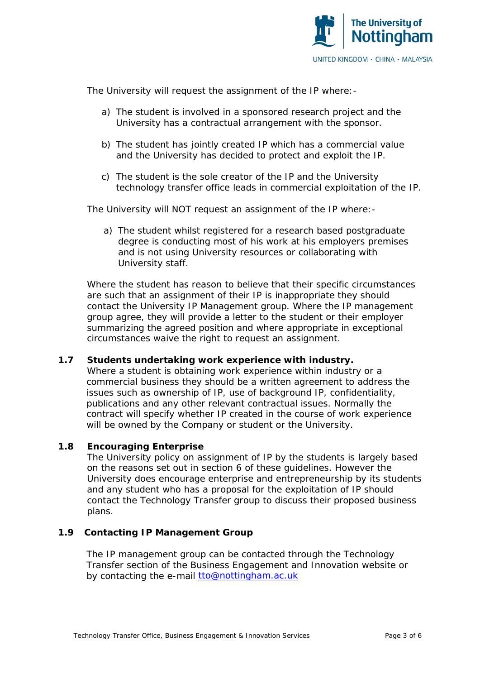

The University will request the assignment of the IP where:-

- a) The student is involved in a sponsored research project and the University has a contractual arrangement with the sponsor.
- b) The student has jointly created IP which has a commercial value and the University has decided to protect and exploit the IP.
- c) The student is the sole creator of the IP and the University technology transfer office leads in commercial exploitation of the IP.

The University will NOT request an assignment of the IP where:-

a) The student whilst registered for a research based postgraduate degree is conducting most of his work at his employers premises and is not using University resources or collaborating with University staff.

Where the student has reason to believe that their specific circumstances are such that an assignment of their IP is inappropriate they should contact the University IP Management group. Where the IP management group agree, they will provide a letter to the student or their employer summarizing the agreed position and where appropriate in exceptional circumstances waive the right to request an assignment.

### **1.7 Students undertaking work experience with industry.**

Where a student is obtaining work experience within industry or a commercial business they should be a written agreement to address the issues such as ownership of IP, use of background IP, confidentiality, publications and any other relevant contractual issues. Normally the contract will specify whether IP created in the course of work experience will be owned by the Company or student or the University.

### **1.8 Encouraging Enterprise**

The University policy on assignment of IP by the students is largely based on the reasons set out in section 6 of these guidelines. However the University does encourage enterprise and entrepreneurship by its students and any student who has a proposal for the exploitation of IP should contact the Technology Transfer group to discuss their proposed business plans.

# **1.9 Contacting IP Management Group**

The IP management group can be contacted through the Technology Transfer section of the Business Engagement and Innovation website or by contacting the e-mail [tto@nottingham.ac.uk](mailto:tto@nottingham.ac.uk)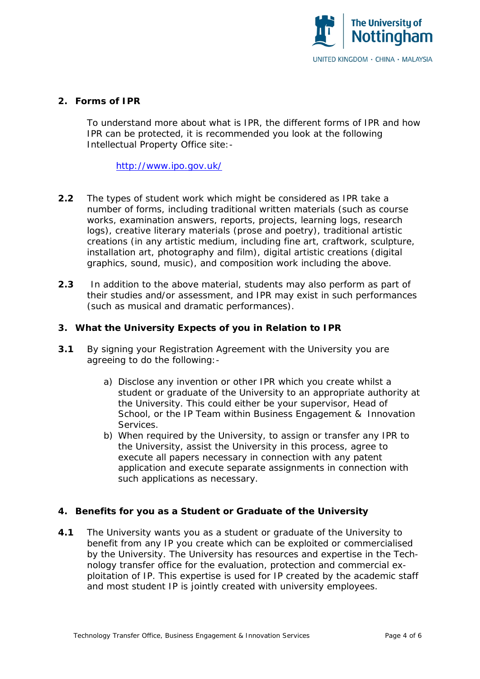

## **2. Forms of IPR**

To understand more about what is IPR, the different forms of IPR and how IPR can be protected, it is recommended you look at the following Intellectual Property Office site:-

<http://www.ipo.gov.uk/>

- **2.2** The types of student work which might be considered as IPR take a number of forms, including traditional written materials (such as course works, examination answers, reports, projects, learning logs, research logs), creative literary materials (prose and poetry), traditional artistic creations (in any artistic medium, including fine art, craftwork, sculpture, installation art, photography and film), digital artistic creations (digital graphics, sound, music), and composition work including the above.
- **2.3** In addition to the above material, students may also perform as part of their studies and/or assessment, and IPR may exist in such performances (such as musical and dramatic performances).

# **3. What the University Expects of you in Relation to IPR**

- **3.1** By signing your Registration Agreement with the University you are agreeing to do the following:
	- a) Disclose any invention or other IPR which you create whilst a student or graduate of the University to an appropriate authority at the University. This could either be your supervisor, Head of School, or the IP Team within Business Engagement & Innovation Services.
	- b) When required by the University, to assign or transfer any IPR to the University, assist the University in this process, agree to execute all papers necessary in connection with any patent application and execute separate assignments in connection with such applications as necessary.

### **4. Benefits for you as a Student or Graduate of the University**

**4.1** The University wants you as a student or graduate of the University to benefit from any IP you create which can be exploited or commercialised by the University. The University has resources and expertise in the Technology transfer office for the evaluation, protection and commercial exploitation of IP. This expertise is used for IP created by the academic staff and most student IP is jointly created with university employees.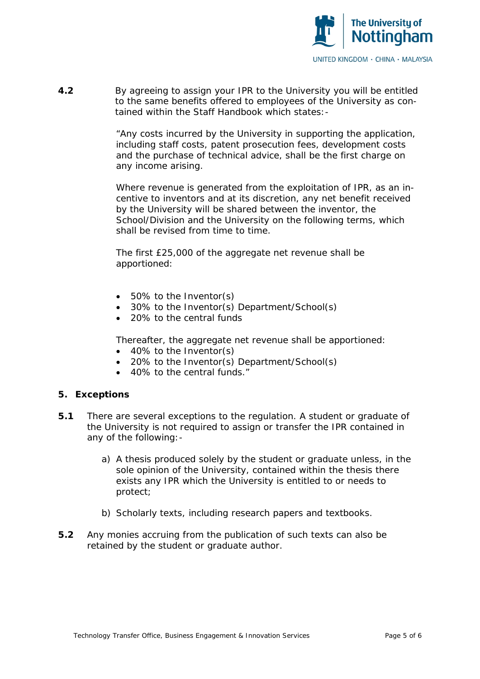

**4.2** By agreeing to assign your IPR to the University you will be entitled to the same benefits offered to employees of the University as contained within the Staff Handbook which states:-

> "Any costs incurred by the University in supporting the application, including staff costs, patent prosecution fees, development costs and the purchase of technical advice, shall be the first charge on any income arising.

> Where revenue is generated from the exploitation of IPR, as an incentive to inventors and at its discretion, any net benefit received by the University will be shared between the inventor, the School/Division and the University on the following terms, which shall be revised from time to time.

The first £25,000 of the aggregate net revenue shall be apportioned:

- 50% to the Inventor(s)
- 30% to the Inventor(s) Department/School(s)
- 20% to the central funds

Thereafter, the aggregate net revenue shall be apportioned:

- 40% to the Inventor(s)
- 20% to the Inventor(s) Department/School(s)
- 40% to the central funds."

### **5. Exceptions**

- **5.1** There are several exceptions to the regulation. A student or graduate of the University is not required to assign or transfer the IPR contained in any of the following:
	- a) A thesis produced solely by the student or graduate unless, in the sole opinion of the University, contained within the thesis there exists any IPR which the University is entitled to or needs to protect;
	- b) Scholarly texts, including research papers and textbooks.
- **5.2** Any monies accruing from the publication of such texts can also be retained by the student or graduate author.